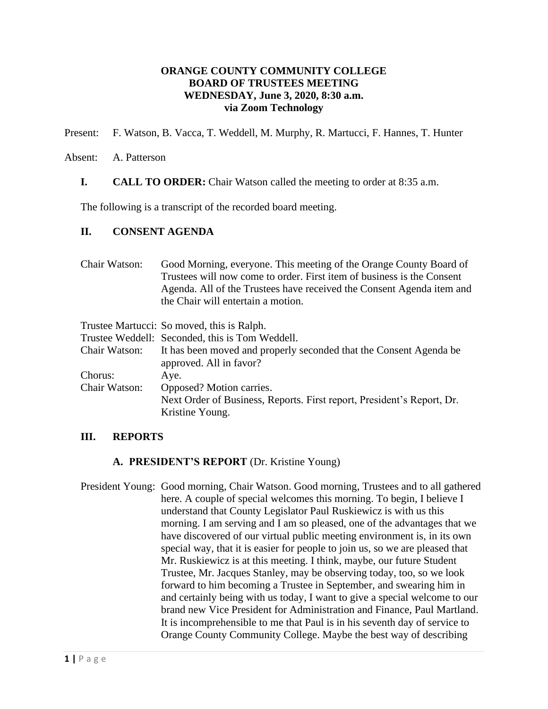## **ORANGE COUNTY COMMUNITY COLLEGE BOARD OF TRUSTEES MEETING WEDNESDAY, June 3, 2020, 8:30 a.m. via Zoom Technology**

Present: F. Watson, B. Vacca, T. Weddell, M. Murphy, R. Martucci, F. Hannes, T. Hunter

#### Absent: A. Patterson

**I. CALL TO ORDER:** Chair Watson called the meeting to order at 8:35 a.m.

The following is a transcript of the recorded board meeting.

#### **II. CONSENT AGENDA**

| Chair Watson: | Good Morning, everyone. This meeting of the Orange County Board of<br>Trustees will now come to order. First item of business is the Consent<br>Agenda. All of the Trustees have received the Consent Agenda item and<br>the Chair will entertain a motion. |
|---------------|-------------------------------------------------------------------------------------------------------------------------------------------------------------------------------------------------------------------------------------------------------------|
|               | Trustee Martucci: So moved, this is Ralph.                                                                                                                                                                                                                  |
|               | Trustee Weddell: Seconded, this is Tom Weddell.                                                                                                                                                                                                             |
| Chair Watson: | It has been moved and properly seconded that the Consent Agenda be<br>approved. All in favor?                                                                                                                                                               |
| Chorus:       | Aye.                                                                                                                                                                                                                                                        |
| Chair Watson: | Opposed? Motion carries.                                                                                                                                                                                                                                    |
|               | Next Order of Business, Reports. First report, President's Report, Dr.                                                                                                                                                                                      |
|               | Kristine Young.                                                                                                                                                                                                                                             |

#### **III. REPORTS**

#### **A. PRESIDENT'S REPORT** (Dr. Kristine Young)

President Young: Good morning, Chair Watson. Good morning, Trustees and to all gathered here. A couple of special welcomes this morning. To begin, I believe I understand that County Legislator Paul Ruskiewicz is with us this morning. I am serving and I am so pleased, one of the advantages that we have discovered of our virtual public meeting environment is, in its own special way, that it is easier for people to join us, so we are pleased that Mr. Ruskiewicz is at this meeting. I think, maybe, our future Student Trustee, Mr. Jacques Stanley, may be observing today, too, so we look forward to him becoming a Trustee in September, and swearing him in and certainly being with us today, I want to give a special welcome to our brand new Vice President for Administration and Finance, Paul Martland. It is incomprehensible to me that Paul is in his seventh day of service to Orange County Community College. Maybe the best way of describing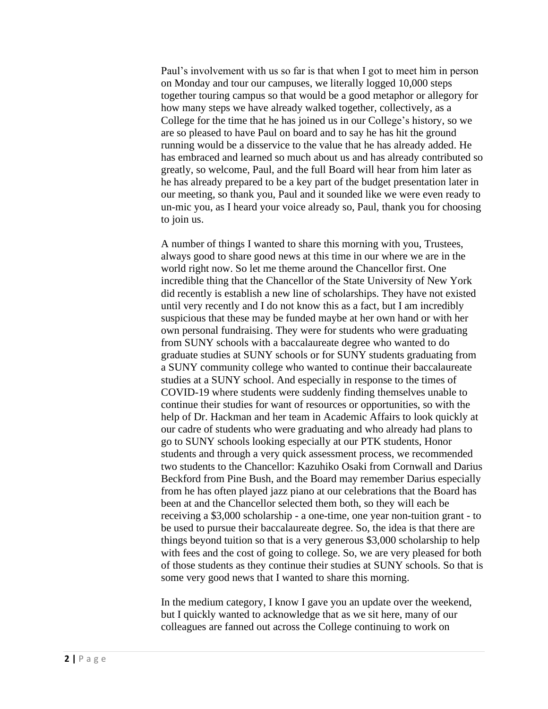Paul's involvement with us so far is that when I got to meet him in person on Monday and tour our campuses, we literally logged 10,000 steps together touring campus so that would be a good metaphor or allegory for how many steps we have already walked together, collectively, as a College for the time that he has joined us in our College's history, so we are so pleased to have Paul on board and to say he has hit the ground running would be a disservice to the value that he has already added. He has embraced and learned so much about us and has already contributed so greatly, so welcome, Paul, and the full Board will hear from him later as he has already prepared to be a key part of the budget presentation later in our meeting, so thank you, Paul and it sounded like we were even ready to un-mic you, as I heard your voice already so, Paul, thank you for choosing to join us.

A number of things I wanted to share this morning with you, Trustees, always good to share good news at this time in our where we are in the world right now. So let me theme around the Chancellor first. One incredible thing that the Chancellor of the State University of New York did recently is establish a new line of scholarships. They have not existed until very recently and I do not know this as a fact, but I am incredibly suspicious that these may be funded maybe at her own hand or with her own personal fundraising. They were for students who were graduating from SUNY schools with a baccalaureate degree who wanted to do graduate studies at SUNY schools or for SUNY students graduating from a SUNY community college who wanted to continue their baccalaureate studies at a SUNY school. And especially in response to the times of COVID-19 where students were suddenly finding themselves unable to continue their studies for want of resources or opportunities, so with the help of Dr. Hackman and her team in Academic Affairs to look quickly at our cadre of students who were graduating and who already had plans to go to SUNY schools looking especially at our PTK students, Honor students and through a very quick assessment process, we recommended two students to the Chancellor: Kazuhiko Osaki from Cornwall and Darius Beckford from Pine Bush, and the Board may remember Darius especially from he has often played jazz piano at our celebrations that the Board has been at and the Chancellor selected them both, so they will each be receiving a \$3,000 scholarship - a one-time, one year non-tuition grant - to be used to pursue their baccalaureate degree. So, the idea is that there are things beyond tuition so that is a very generous \$3,000 scholarship to help with fees and the cost of going to college. So, we are very pleased for both of those students as they continue their studies at SUNY schools. So that is some very good news that I wanted to share this morning.

In the medium category, I know I gave you an update over the weekend, but I quickly wanted to acknowledge that as we sit here, many of our colleagues are fanned out across the College continuing to work on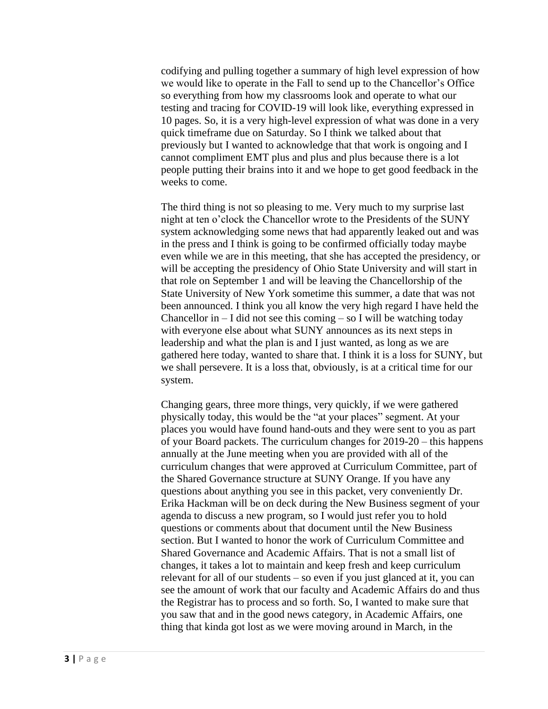codifying and pulling together a summary of high level expression of how we would like to operate in the Fall to send up to the Chancellor's Office so everything from how my classrooms look and operate to what our testing and tracing for COVID-19 will look like, everything expressed in 10 pages. So, it is a very high-level expression of what was done in a very quick timeframe due on Saturday. So I think we talked about that previously but I wanted to acknowledge that that work is ongoing and I cannot compliment EMT plus and plus and plus because there is a lot people putting their brains into it and we hope to get good feedback in the weeks to come.

The third thing is not so pleasing to me. Very much to my surprise last night at ten o'clock the Chancellor wrote to the Presidents of the SUNY system acknowledging some news that had apparently leaked out and was in the press and I think is going to be confirmed officially today maybe even while we are in this meeting, that she has accepted the presidency, or will be accepting the presidency of Ohio State University and will start in that role on September 1 and will be leaving the Chancellorship of the State University of New York sometime this summer, a date that was not been announced. I think you all know the very high regard I have held the Chancellor in  $- I$  did not see this coming  $-$  so I will be watching today with everyone else about what SUNY announces as its next steps in leadership and what the plan is and I just wanted, as long as we are gathered here today, wanted to share that. I think it is a loss for SUNY, but we shall persevere. It is a loss that, obviously, is at a critical time for our system.

Changing gears, three more things, very quickly, if we were gathered physically today, this would be the "at your places" segment. At your places you would have found hand-outs and they were sent to you as part of your Board packets. The curriculum changes for 2019-20 – this happens annually at the June meeting when you are provided with all of the curriculum changes that were approved at Curriculum Committee, part of the Shared Governance structure at SUNY Orange. If you have any questions about anything you see in this packet, very conveniently Dr. Erika Hackman will be on deck during the New Business segment of your agenda to discuss a new program, so I would just refer you to hold questions or comments about that document until the New Business section. But I wanted to honor the work of Curriculum Committee and Shared Governance and Academic Affairs. That is not a small list of changes, it takes a lot to maintain and keep fresh and keep curriculum relevant for all of our students – so even if you just glanced at it, you can see the amount of work that our faculty and Academic Affairs do and thus the Registrar has to process and so forth. So, I wanted to make sure that you saw that and in the good news category, in Academic Affairs, one thing that kinda got lost as we were moving around in March, in the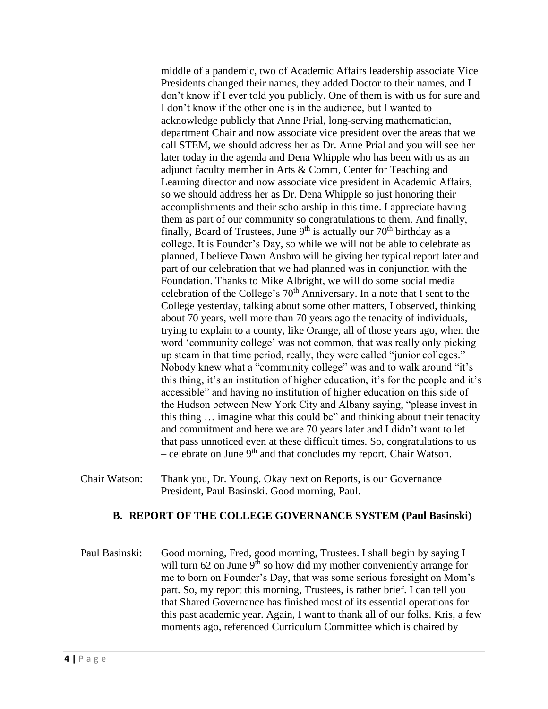middle of a pandemic, two of Academic Affairs leadership associate Vice Presidents changed their names, they added Doctor to their names, and I don't know if I ever told you publicly. One of them is with us for sure and I don't know if the other one is in the audience, but I wanted to acknowledge publicly that Anne Prial, long-serving mathematician, department Chair and now associate vice president over the areas that we call STEM, we should address her as Dr. Anne Prial and you will see her later today in the agenda and Dena Whipple who has been with us as an adjunct faculty member in Arts & Comm, Center for Teaching and Learning director and now associate vice president in Academic Affairs, so we should address her as Dr. Dena Whipple so just honoring their accomplishments and their scholarship in this time. I appreciate having them as part of our community so congratulations to them. And finally, finally, Board of Trustees, June  $9<sup>th</sup>$  is actually our  $70<sup>th</sup>$  birthday as a college. It is Founder's Day, so while we will not be able to celebrate as planned, I believe Dawn Ansbro will be giving her typical report later and part of our celebration that we had planned was in conjunction with the Foundation. Thanks to Mike Albright, we will do some social media celebration of the College's  $70<sup>th</sup>$  Anniversary. In a note that I sent to the College yesterday, talking about some other matters, I observed, thinking about 70 years, well more than 70 years ago the tenacity of individuals, trying to explain to a county, like Orange, all of those years ago, when the word 'community college' was not common, that was really only picking up steam in that time period, really, they were called "junior colleges." Nobody knew what a "community college" was and to walk around "it's this thing, it's an institution of higher education, it's for the people and it's accessible" and having no institution of higher education on this side of the Hudson between New York City and Albany saying, "please invest in this thing … imagine what this could be" and thinking about their tenacity and commitment and here we are 70 years later and I didn't want to let that pass unnoticed even at these difficult times. So, congratulations to us – celebrate on June 9<sup>th</sup> and that concludes my report, Chair Watson.

Chair Watson: Thank you, Dr. Young. Okay next on Reports, is our Governance President, Paul Basinski. Good morning, Paul.

#### **B. REPORT OF THE COLLEGE GOVERNANCE SYSTEM (Paul Basinski)**

Paul Basinski: Good morning, Fred, good morning, Trustees. I shall begin by saying I will turn  $62$  on June  $9<sup>th</sup>$  so how did my mother conveniently arrange for me to born on Founder's Day, that was some serious foresight on Mom's part. So, my report this morning, Trustees, is rather brief. I can tell you that Shared Governance has finished most of its essential operations for this past academic year. Again, I want to thank all of our folks. Kris, a few moments ago, referenced Curriculum Committee which is chaired by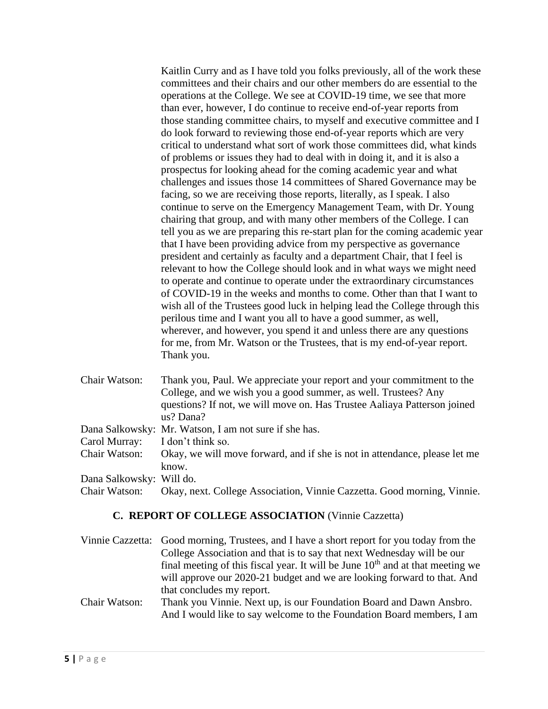Kaitlin Curry and as I have told you folks previously, all of the work these committees and their chairs and our other members do are essential to the operations at the College. We see at COVID-19 time, we see that more than ever, however, I do continue to receive end-of-year reports from those standing committee chairs, to myself and executive committee and I do look forward to reviewing those end-of-year reports which are very critical to understand what sort of work those committees did, what kinds of problems or issues they had to deal with in doing it, and it is also a prospectus for looking ahead for the coming academic year and what challenges and issues those 14 committees of Shared Governance may be facing, so we are receiving those reports, literally, as I speak. I also continue to serve on the Emergency Management Team, with Dr. Young chairing that group, and with many other members of the College. I can tell you as we are preparing this re-start plan for the coming academic year that I have been providing advice from my perspective as governance president and certainly as faculty and a department Chair, that I feel is relevant to how the College should look and in what ways we might need to operate and continue to operate under the extraordinary circumstances of COVID-19 in the weeks and months to come. Other than that I want to wish all of the Trustees good luck in helping lead the College through this perilous time and I want you all to have a good summer, as well, wherever, and however, you spend it and unless there are any questions for me, from Mr. Watson or the Trustees, that is my end-of-year report. Thank you.

| Chair Watson:            | Thank you, Paul. We appreciate your report and your commitment to the               |
|--------------------------|-------------------------------------------------------------------------------------|
|                          | College, and we wish you a good summer, as well. Trustees? Any                      |
|                          | questions? If not, we will move on. Has Trustee Aaliaya Patterson joined            |
|                          | us? Dana?                                                                           |
|                          | Dana Salkowsky: Mr. Watson, I am not sure if she has.                               |
| Carol Murray:            | I don't think so.                                                                   |
| Chair Watson:            | Okay, we will move forward, and if she is not in attendance, please let me<br>know. |
| Dana Salkowsky: Will do. |                                                                                     |
| Chair Watson:            | Okay, next. College Association, Vinnie Cazzetta. Good morning, Vinnie.             |

# **C. REPORT OF COLLEGE ASSOCIATION** (Vinnie Cazzetta)

|               | Vinnie Cazzetta: Good morning, Trustees, and I have a short report for you today from the                                                    |
|---------------|----------------------------------------------------------------------------------------------------------------------------------------------|
|               | College Association and that is to say that next Wednesday will be our                                                                       |
|               | final meeting of this fiscal year. It will be June $10th$ and at that meeting we                                                             |
|               | will approve our 2020-21 budget and we are looking forward to that. And                                                                      |
|               | that concludes my report.                                                                                                                    |
| Chair Watson: | Thank you Vinnie. Next up, is our Foundation Board and Dawn Ansbro.<br>And I would like to say welcome to the Foundation Board members, I am |
|               |                                                                                                                                              |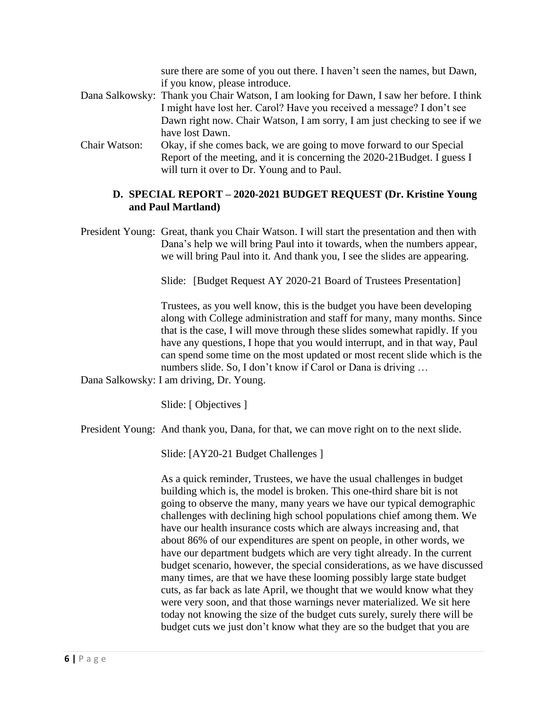sure there are some of you out there. I haven't seen the names, but Dawn, if you know, please introduce. Dana Salkowsky: Thank you Chair Watson, I am looking for Dawn, I saw her before. I think I might have lost her. Carol? Have you received a message? I don't see Dawn right now. Chair Watson, I am sorry, I am just checking to see if we have lost Dawn.

Chair Watson: Okay, if she comes back, we are going to move forward to our Special Report of the meeting, and it is concerning the 2020-21Budget. I guess I will turn it over to Dr. Young and to Paul.

## **D. SPECIAL REPORT – 2020-2021 BUDGET REQUEST (Dr. Kristine Young and Paul Martland)**

President Young: Great, thank you Chair Watson. I will start the presentation and then with Dana's help we will bring Paul into it towards, when the numbers appear, we will bring Paul into it. And thank you, I see the slides are appearing.

Slide: [Budget Request AY 2020-21 Board of Trustees Presentation]

Trustees, as you well know, this is the budget you have been developing along with College administration and staff for many, many months. Since that is the case, I will move through these slides somewhat rapidly. If you have any questions, I hope that you would interrupt, and in that way, Paul can spend some time on the most updated or most recent slide which is the numbers slide. So, I don't know if Carol or Dana is driving …

Dana Salkowsky: I am driving, Dr. Young.

Slide: [ Objectives ]

President Young: And thank you, Dana, for that, we can move right on to the next slide.

Slide: [AY20-21 Budget Challenges ]

As a quick reminder, Trustees, we have the usual challenges in budget building which is, the model is broken. This one-third share bit is not going to observe the many, many years we have our typical demographic challenges with declining high school populations chief among them. We have our health insurance costs which are always increasing and, that about 86% of our expenditures are spent on people, in other words, we have our department budgets which are very tight already. In the current budget scenario, however, the special considerations, as we have discussed many times, are that we have these looming possibly large state budget cuts, as far back as late April, we thought that we would know what they were very soon, and that those warnings never materialized. We sit here today not knowing the size of the budget cuts surely, surely there will be budget cuts we just don't know what they are so the budget that you are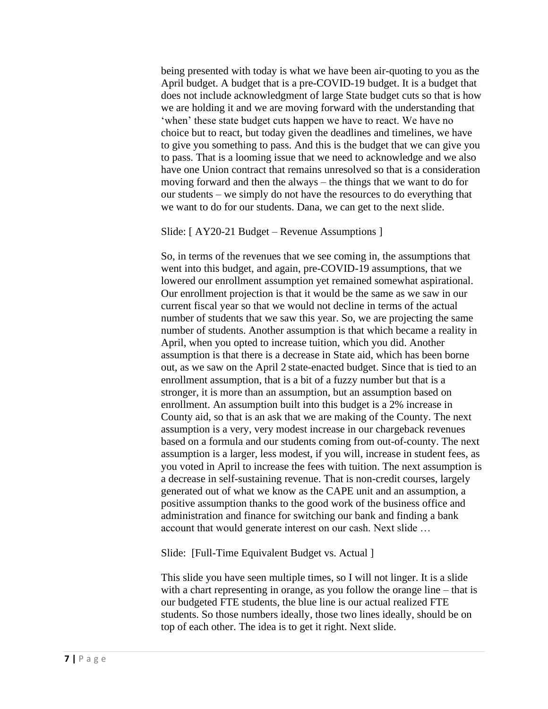being presented with today is what we have been air-quoting to you as the April budget. A budget that is a pre-COVID-19 budget. It is a budget that does not include acknowledgment of large State budget cuts so that is how we are holding it and we are moving forward with the understanding that 'when' these state budget cuts happen we have to react. We have no choice but to react, but today given the deadlines and timelines, we have to give you something to pass. And this is the budget that we can give you to pass. That is a looming issue that we need to acknowledge and we also have one Union contract that remains unresolved so that is a consideration moving forward and then the always – the things that we want to do for our students – we simply do not have the resources to do everything that we want to do for our students. Dana, we can get to the next slide.

#### Slide: [ AY20-21 Budget – Revenue Assumptions ]

So, in terms of the revenues that we see coming in, the assumptions that went into this budget, and again, pre-COVID-19 assumptions, that we lowered our enrollment assumption yet remained somewhat aspirational. Our enrollment projection is that it would be the same as we saw in our current fiscal year so that we would not decline in terms of the actual number of students that we saw this year. So, we are projecting the same number of students. Another assumption is that which became a reality in April, when you opted to increase tuition, which you did. Another assumption is that there is a decrease in State aid, which has been borne out, as we saw on the April 2 state-enacted budget. Since that is tied to an enrollment assumption, that is a bit of a fuzzy number but that is a stronger, it is more than an assumption, but an assumption based on enrollment. An assumption built into this budget is a 2% increase in County aid, so that is an ask that we are making of the County. The next assumption is a very, very modest increase in our chargeback revenues based on a formula and our students coming from out-of-county. The next assumption is a larger, less modest, if you will, increase in student fees, as you voted in April to increase the fees with tuition. The next assumption is a decrease in self-sustaining revenue. That is non-credit courses, largely generated out of what we know as the CAPE unit and an assumption, a positive assumption thanks to the good work of the business office and administration and finance for switching our bank and finding a bank account that would generate interest on our cash. Next slide …

Slide: [Full-Time Equivalent Budget vs. Actual ]

This slide you have seen multiple times, so I will not linger. It is a slide with a chart representing in orange, as you follow the orange line – that is our budgeted FTE students, the blue line is our actual realized FTE students. So those numbers ideally, those two lines ideally, should be on top of each other. The idea is to get it right. Next slide.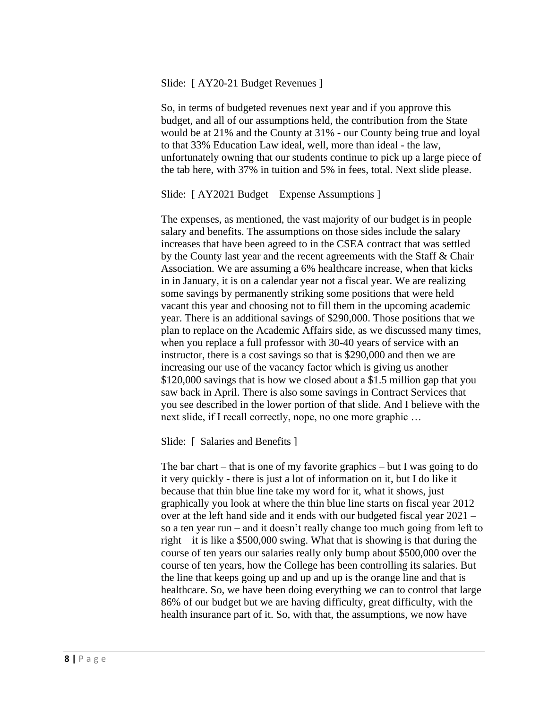#### Slide: [ AY20-21 Budget Revenues ]

So, in terms of budgeted revenues next year and if you approve this budget, and all of our assumptions held, the contribution from the State would be at 21% and the County at 31% - our County being true and loyal to that 33% Education Law ideal, well, more than ideal - the law, unfortunately owning that our students continue to pick up a large piece of the tab here, with 37% in tuition and 5% in fees, total. Next slide please.

Slide: [ AY2021 Budget – Expense Assumptions ]

The expenses, as mentioned, the vast majority of our budget is in people – salary and benefits. The assumptions on those sides include the salary increases that have been agreed to in the CSEA contract that was settled by the County last year and the recent agreements with the Staff & Chair Association. We are assuming a 6% healthcare increase, when that kicks in in January, it is on a calendar year not a fiscal year. We are realizing some savings by permanently striking some positions that were held vacant this year and choosing not to fill them in the upcoming academic year. There is an additional savings of \$290,000. Those positions that we plan to replace on the Academic Affairs side, as we discussed many times, when you replace a full professor with 30-40 years of service with an instructor, there is a cost savings so that is \$290,000 and then we are increasing our use of the vacancy factor which is giving us another \$120,000 savings that is how we closed about a \$1.5 million gap that you saw back in April. There is also some savings in Contract Services that you see described in the lower portion of that slide. And I believe with the next slide, if I recall correctly, nope, no one more graphic …

Slide: [ Salaries and Benefits ]

The bar chart – that is one of my favorite graphics – but I was going to do it very quickly - there is just a lot of information on it, but I do like it because that thin blue line take my word for it, what it shows, just graphically you look at where the thin blue line starts on fiscal year 2012 over at the left hand side and it ends with our budgeted fiscal year 2021 – so a ten year run – and it doesn't really change too much going from left to right – it is like a \$500,000 swing. What that is showing is that during the course of ten years our salaries really only bump about \$500,000 over the course of ten years, how the College has been controlling its salaries. But the line that keeps going up and up and up is the orange line and that is healthcare. So, we have been doing everything we can to control that large 86% of our budget but we are having difficulty, great difficulty, with the health insurance part of it. So, with that, the assumptions, we now have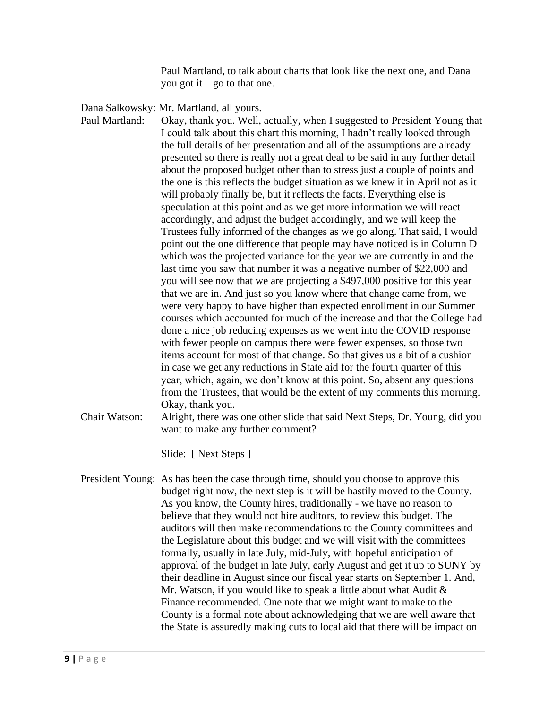Paul Martland, to talk about charts that look like the next one, and Dana you got it – go to that one.

Dana Salkowsky: Mr. Martland, all yours.

- Paul Martland: Okay, thank you. Well, actually, when I suggested to President Young that I could talk about this chart this morning, I hadn't really looked through the full details of her presentation and all of the assumptions are already presented so there is really not a great deal to be said in any further detail about the proposed budget other than to stress just a couple of points and the one is this reflects the budget situation as we knew it in April not as it will probably finally be, but it reflects the facts. Everything else is speculation at this point and as we get more information we will react accordingly, and adjust the budget accordingly, and we will keep the Trustees fully informed of the changes as we go along. That said, I would point out the one difference that people may have noticed is in Column D which was the projected variance for the year we are currently in and the last time you saw that number it was a negative number of \$22,000 and you will see now that we are projecting a \$497,000 positive for this year that we are in. And just so you know where that change came from, we were very happy to have higher than expected enrollment in our Summer courses which accounted for much of the increase and that the College had done a nice job reducing expenses as we went into the COVID response with fewer people on campus there were fewer expenses, so those two items account for most of that change. So that gives us a bit of a cushion in case we get any reductions in State aid for the fourth quarter of this year, which, again, we don't know at this point. So, absent any questions from the Trustees, that would be the extent of my comments this morning. Okay, thank you.
- Chair Watson: Alright, there was one other slide that said Next Steps, Dr. Young, did you want to make any further comment?

Slide: [ Next Steps ]

President Young: As has been the case through time, should you choose to approve this budget right now, the next step is it will be hastily moved to the County. As you know, the County hires, traditionally - we have no reason to believe that they would not hire auditors, to review this budget. The auditors will then make recommendations to the County committees and the Legislature about this budget and we will visit with the committees formally, usually in late July, mid-July, with hopeful anticipation of approval of the budget in late July, early August and get it up to SUNY by their deadline in August since our fiscal year starts on September 1. And, Mr. Watson, if you would like to speak a little about what Audit & Finance recommended. One note that we might want to make to the County is a formal note about acknowledging that we are well aware that the State is assuredly making cuts to local aid that there will be impact on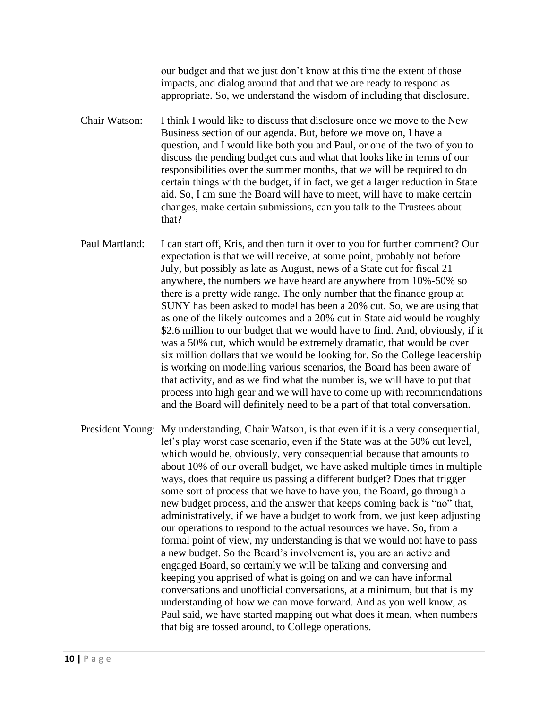our budget and that we just don't know at this time the extent of those impacts, and dialog around that and that we are ready to respond as appropriate. So, we understand the wisdom of including that disclosure.

- Chair Watson: I think I would like to discuss that disclosure once we move to the New Business section of our agenda. But, before we move on, I have a question, and I would like both you and Paul, or one of the two of you to discuss the pending budget cuts and what that looks like in terms of our responsibilities over the summer months, that we will be required to do certain things with the budget, if in fact, we get a larger reduction in State aid. So, I am sure the Board will have to meet, will have to make certain changes, make certain submissions, can you talk to the Trustees about that?
- Paul Martland: I can start off, Kris, and then turn it over to you for further comment? Our expectation is that we will receive, at some point, probably not before July, but possibly as late as August, news of a State cut for fiscal 21 anywhere, the numbers we have heard are anywhere from 10%-50% so there is a pretty wide range. The only number that the finance group at SUNY has been asked to model has been a 20% cut. So, we are using that as one of the likely outcomes and a 20% cut in State aid would be roughly \$2.6 million to our budget that we would have to find. And, obviously, if it was a 50% cut, which would be extremely dramatic, that would be over six million dollars that we would be looking for. So the College leadership is working on modelling various scenarios, the Board has been aware of that activity, and as we find what the number is, we will have to put that process into high gear and we will have to come up with recommendations and the Board will definitely need to be a part of that total conversation.
- President Young: My understanding, Chair Watson, is that even if it is a very consequential, let's play worst case scenario, even if the State was at the 50% cut level, which would be, obviously, very consequential because that amounts to about 10% of our overall budget, we have asked multiple times in multiple ways, does that require us passing a different budget? Does that trigger some sort of process that we have to have you, the Board, go through a new budget process, and the answer that keeps coming back is "no" that, administratively, if we have a budget to work from, we just keep adjusting our operations to respond to the actual resources we have. So, from a formal point of view, my understanding is that we would not have to pass a new budget. So the Board's involvement is, you are an active and engaged Board, so certainly we will be talking and conversing and keeping you apprised of what is going on and we can have informal conversations and unofficial conversations, at a minimum, but that is my understanding of how we can move forward. And as you well know, as Paul said, we have started mapping out what does it mean, when numbers that big are tossed around, to College operations.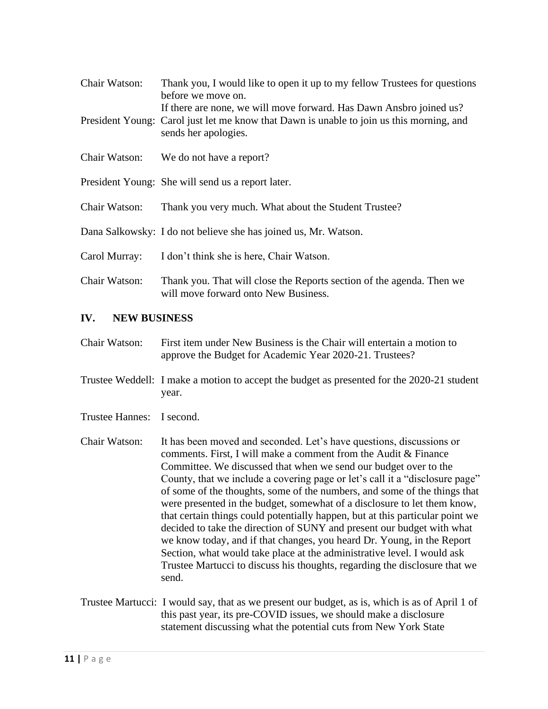| Chair Watson: | Thank you, I would like to open it up to my fellow Trustees for questions<br>before we move on.                                                                                         |
|---------------|-----------------------------------------------------------------------------------------------------------------------------------------------------------------------------------------|
|               | If there are none, we will move forward. Has Dawn Ansbro joined us?<br>President Young: Carol just let me know that Dawn is unable to join us this morning, and<br>sends her apologies. |
| Chair Watson: | We do not have a report?                                                                                                                                                                |
|               | President Young: She will send us a report later.                                                                                                                                       |
| Chair Watson: | Thank you very much. What about the Student Trustee?                                                                                                                                    |
|               | Dana Salkowsky: I do not believe she has joined us, Mr. Watson.                                                                                                                         |
| Carol Murray: | I don't think she is here, Chair Watson.                                                                                                                                                |
| Chair Watson: | Thank you. That will close the Reports section of the agenda. Then we<br>will move forward onto New Business.                                                                           |

# **IV. NEW BUSINESS**

- Chair Watson: First item under New Business is the Chair will entertain a motion to approve the Budget for Academic Year 2020-21. Trustees?
- Trustee Weddell: I make a motion to accept the budget as presented for the 2020-21 student year.
- Trustee Hannes: I second.
- Chair Watson: It has been moved and seconded. Let's have questions, discussions or comments. First, I will make a comment from the Audit & Finance Committee. We discussed that when we send our budget over to the County, that we include a covering page or let's call it a "disclosure page" of some of the thoughts, some of the numbers, and some of the things that were presented in the budget, somewhat of a disclosure to let them know, that certain things could potentially happen, but at this particular point we decided to take the direction of SUNY and present our budget with what we know today, and if that changes, you heard Dr. Young, in the Report Section, what would take place at the administrative level. I would ask Trustee Martucci to discuss his thoughts, regarding the disclosure that we send.
- Trustee Martucci: I would say, that as we present our budget, as is, which is as of April 1 of this past year, its pre-COVID issues, we should make a disclosure statement discussing what the potential cuts from New York State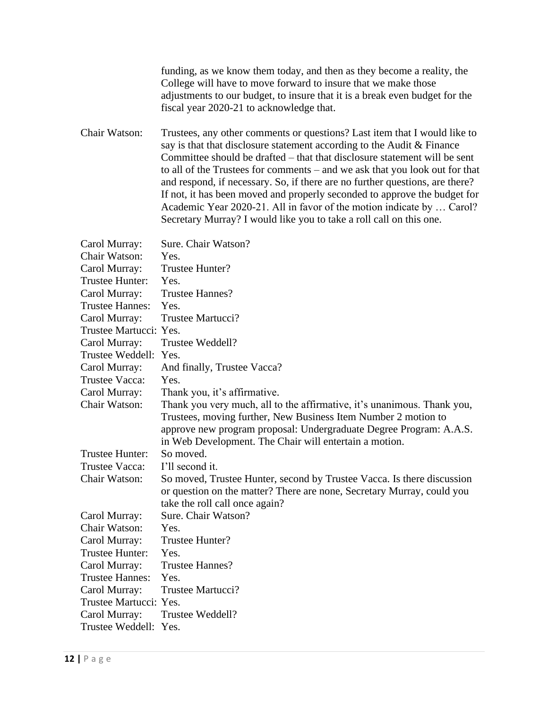|                        | funding, as we know them today, and then as they become a reality, the<br>College will have to move forward to insure that we make those<br>adjustments to our budget, to insure that it is a break even budget for the<br>fiscal year 2020-21 to acknowledge that.                                                                                                                                                                                                                                                                                                                                                          |
|------------------------|------------------------------------------------------------------------------------------------------------------------------------------------------------------------------------------------------------------------------------------------------------------------------------------------------------------------------------------------------------------------------------------------------------------------------------------------------------------------------------------------------------------------------------------------------------------------------------------------------------------------------|
| Chair Watson:          | Trustees, any other comments or questions? Last item that I would like to<br>say is that that disclosure statement according to the Audit & Finance<br>Committee should be drafted – that that disclosure statement will be sent<br>to all of the Trustees for comments – and we ask that you look out for that<br>and respond, if necessary. So, if there are no further questions, are there?<br>If not, it has been moved and properly seconded to approve the budget for<br>Academic Year 2020-21. All in favor of the motion indicate by  Carol?<br>Secretary Murray? I would like you to take a roll call on this one. |
| Carol Murray:          | Sure. Chair Watson?                                                                                                                                                                                                                                                                                                                                                                                                                                                                                                                                                                                                          |
| Chair Watson:          | Yes.                                                                                                                                                                                                                                                                                                                                                                                                                                                                                                                                                                                                                         |
| Carol Murray:          | Trustee Hunter?                                                                                                                                                                                                                                                                                                                                                                                                                                                                                                                                                                                                              |
| Trustee Hunter:        | Yes.                                                                                                                                                                                                                                                                                                                                                                                                                                                                                                                                                                                                                         |
| Carol Murray:          | <b>Trustee Hannes?</b>                                                                                                                                                                                                                                                                                                                                                                                                                                                                                                                                                                                                       |
| <b>Trustee Hannes:</b> | Yes.                                                                                                                                                                                                                                                                                                                                                                                                                                                                                                                                                                                                                         |
| Carol Murray:          | Trustee Martucci?                                                                                                                                                                                                                                                                                                                                                                                                                                                                                                                                                                                                            |
| Trustee Martucci: Yes. |                                                                                                                                                                                                                                                                                                                                                                                                                                                                                                                                                                                                                              |
| Carol Murray:          | Trustee Weddell?                                                                                                                                                                                                                                                                                                                                                                                                                                                                                                                                                                                                             |
| Trustee Weddell:       | Yes.                                                                                                                                                                                                                                                                                                                                                                                                                                                                                                                                                                                                                         |
| Carol Murray:          | And finally, Trustee Vacca?                                                                                                                                                                                                                                                                                                                                                                                                                                                                                                                                                                                                  |
| Trustee Vacca:         | Yes.                                                                                                                                                                                                                                                                                                                                                                                                                                                                                                                                                                                                                         |
| Carol Murray:          | Thank you, it's affirmative.                                                                                                                                                                                                                                                                                                                                                                                                                                                                                                                                                                                                 |
| Chair Watson:          | Thank you very much, all to the affirmative, it's unanimous. Thank you,<br>Trustees, moving further, New Business Item Number 2 motion to<br>approve new program proposal: Undergraduate Degree Program: A.A.S.<br>in Web Development. The Chair will entertain a motion.                                                                                                                                                                                                                                                                                                                                                    |
| Trustee Hunter:        | So moved.                                                                                                                                                                                                                                                                                                                                                                                                                                                                                                                                                                                                                    |
| Trustee Vacca:         | I'll second it.                                                                                                                                                                                                                                                                                                                                                                                                                                                                                                                                                                                                              |
| Chair Watson:          | So moved, Trustee Hunter, second by Trustee Vacca. Is there discussion<br>or question on the matter? There are none, Secretary Murray, could you<br>take the roll call once again?                                                                                                                                                                                                                                                                                                                                                                                                                                           |
| Carol Murray:          | Sure. Chair Watson?                                                                                                                                                                                                                                                                                                                                                                                                                                                                                                                                                                                                          |
| <b>Chair Watson:</b>   | Yes.                                                                                                                                                                                                                                                                                                                                                                                                                                                                                                                                                                                                                         |
| Carol Murray:          | Trustee Hunter?                                                                                                                                                                                                                                                                                                                                                                                                                                                                                                                                                                                                              |
| Trustee Hunter:        | Yes.                                                                                                                                                                                                                                                                                                                                                                                                                                                                                                                                                                                                                         |
| Carol Murray:          | <b>Trustee Hannes?</b>                                                                                                                                                                                                                                                                                                                                                                                                                                                                                                                                                                                                       |
| <b>Trustee Hannes:</b> | Yes.                                                                                                                                                                                                                                                                                                                                                                                                                                                                                                                                                                                                                         |
| Carol Murray:          | Trustee Martucci?                                                                                                                                                                                                                                                                                                                                                                                                                                                                                                                                                                                                            |
| Trustee Martucci: Yes. |                                                                                                                                                                                                                                                                                                                                                                                                                                                                                                                                                                                                                              |
| Carol Murray:          | Trustee Weddell?                                                                                                                                                                                                                                                                                                                                                                                                                                                                                                                                                                                                             |
| Trustee Weddell: Yes.  |                                                                                                                                                                                                                                                                                                                                                                                                                                                                                                                                                                                                                              |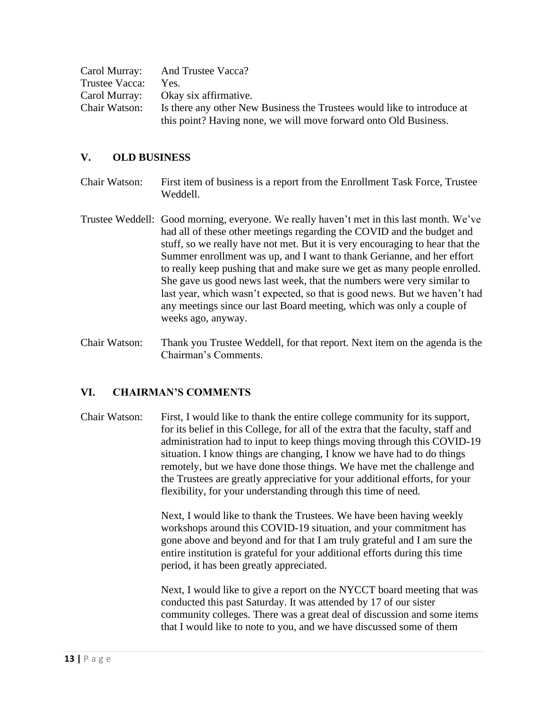|                | Carol Murray: And Trustee Vacca?                                        |
|----------------|-------------------------------------------------------------------------|
| Trustee Vacca: | Yes.                                                                    |
|                | Carol Murray: Okay six affirmative.                                     |
| Chair Watson:  | Is there any other New Business the Trustees would like to introduce at |
|                | this point? Having none, we will move forward onto Old Business.        |

#### **V. OLD BUSINESS**

Chair Watson: First item of business is a report from the Enrollment Task Force, Trustee Weddell.

- Trustee Weddell: Good morning, everyone. We really haven't met in this last month. We've had all of these other meetings regarding the COVID and the budget and stuff, so we really have not met. But it is very encouraging to hear that the Summer enrollment was up, and I want to thank Gerianne, and her effort to really keep pushing that and make sure we get as many people enrolled. She gave us good news last week, that the numbers were very similar to last year, which wasn't expected, so that is good news. But we haven't had any meetings since our last Board meeting, which was only a couple of weeks ago, anyway.
- Chair Watson: Thank you Trustee Weddell, for that report. Next item on the agenda is the Chairman's Comments.

# **VI. CHAIRMAN'S COMMENTS**

Chair Watson: First, I would like to thank the entire college community for its support, for its belief in this College, for all of the extra that the faculty, staff and administration had to input to keep things moving through this COVID-19 situation. I know things are changing, I know we have had to do things remotely, but we have done those things. We have met the challenge and the Trustees are greatly appreciative for your additional efforts, for your flexibility, for your understanding through this time of need.

> Next, I would like to thank the Trustees. We have been having weekly workshops around this COVID-19 situation, and your commitment has gone above and beyond and for that I am truly grateful and I am sure the entire institution is grateful for your additional efforts during this time period, it has been greatly appreciated.

Next, I would like to give a report on the NYCCT board meeting that was conducted this past Saturday. It was attended by 17 of our sister community colleges. There was a great deal of discussion and some items that I would like to note to you, and we have discussed some of them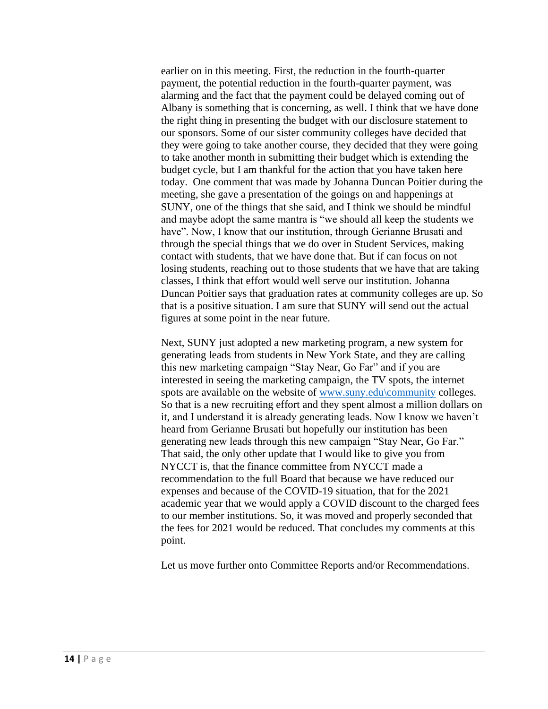earlier on in this meeting. First, the reduction in the fourth-quarter payment, the potential reduction in the fourth-quarter payment, was alarming and the fact that the payment could be delayed coming out of Albany is something that is concerning, as well. I think that we have done the right thing in presenting the budget with our disclosure statement to our sponsors. Some of our sister community colleges have decided that they were going to take another course, they decided that they were going to take another month in submitting their budget which is extending the budget cycle, but I am thankful for the action that you have taken here today. One comment that was made by Johanna Duncan Poitier during the meeting, she gave a presentation of the goings on and happenings at SUNY, one of the things that she said, and I think we should be mindful and maybe adopt the same mantra is "we should all keep the students we have". Now, I know that our institution, through Gerianne Brusati and through the special things that we do over in Student Services, making contact with students, that we have done that. But if can focus on not losing students, reaching out to those students that we have that are taking classes, I think that effort would well serve our institution. Johanna Duncan Poitier says that graduation rates at community colleges are up. So that is a positive situation. I am sure that SUNY will send out the actual figures at some point in the near future.

Next, SUNY just adopted a new marketing program, a new system for generating leads from students in New York State, and they are calling this new marketing campaign "Stay Near, Go Far" and if you are interested in seeing the marketing campaign, the TV spots, the internet spots are available on the website of [www.suny.edu\community](http://www.suny.edu/community) colleges. So that is a new recruiting effort and they spent almost a million dollars on it, and I understand it is already generating leads. Now I know we haven't heard from Gerianne Brusati but hopefully our institution has been generating new leads through this new campaign "Stay Near, Go Far." That said, the only other update that I would like to give you from NYCCT is, that the finance committee from NYCCT made a recommendation to the full Board that because we have reduced our expenses and because of the COVID-19 situation, that for the 2021 academic year that we would apply a COVID discount to the charged fees to our member institutions. So, it was moved and properly seconded that the fees for 2021 would be reduced. That concludes my comments at this point.

Let us move further onto Committee Reports and/or Recommendations.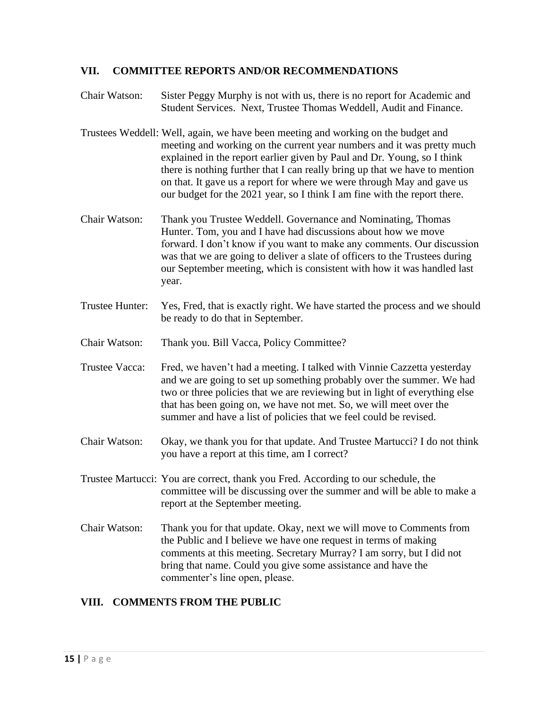#### **VII. COMMITTEE REPORTS AND/OR RECOMMENDATIONS**

Chair Watson: Sister Peggy Murphy is not with us, there is no report for Academic and Student Services. Next, Trustee Thomas Weddell, Audit and Finance.

- Trustees Weddell: Well, again, we have been meeting and working on the budget and meeting and working on the current year numbers and it was pretty much explained in the report earlier given by Paul and Dr. Young, so I think there is nothing further that I can really bring up that we have to mention on that. It gave us a report for where we were through May and gave us our budget for the 2021 year, so I think I am fine with the report there.
- Chair Watson: Thank you Trustee Weddell. Governance and Nominating, Thomas Hunter. Tom, you and I have had discussions about how we move forward. I don't know if you want to make any comments. Our discussion was that we are going to deliver a slate of officers to the Trustees during our September meeting, which is consistent with how it was handled last year.
- Trustee Hunter: Yes, Fred, that is exactly right. We have started the process and we should be ready to do that in September.
- Chair Watson: Thank you. Bill Vacca, Policy Committee?
- Trustee Vacca: Fred, we haven't had a meeting. I talked with Vinnie Cazzetta yesterday and we are going to set up something probably over the summer. We had two or three policies that we are reviewing but in light of everything else that has been going on, we have not met. So, we will meet over the summer and have a list of policies that we feel could be revised.
- Chair Watson: Okay, we thank you for that update. And Trustee Martucci? I do not think you have a report at this time, am I correct?
- Trustee Martucci: You are correct, thank you Fred. According to our schedule, the committee will be discussing over the summer and will be able to make a report at the September meeting.
- Chair Watson: Thank you for that update. Okay, next we will move to Comments from the Public and I believe we have one request in terms of making comments at this meeting. Secretary Murray? I am sorry, but I did not bring that name. Could you give some assistance and have the commenter's line open, please.

# **VIII. COMMENTS FROM THE PUBLIC**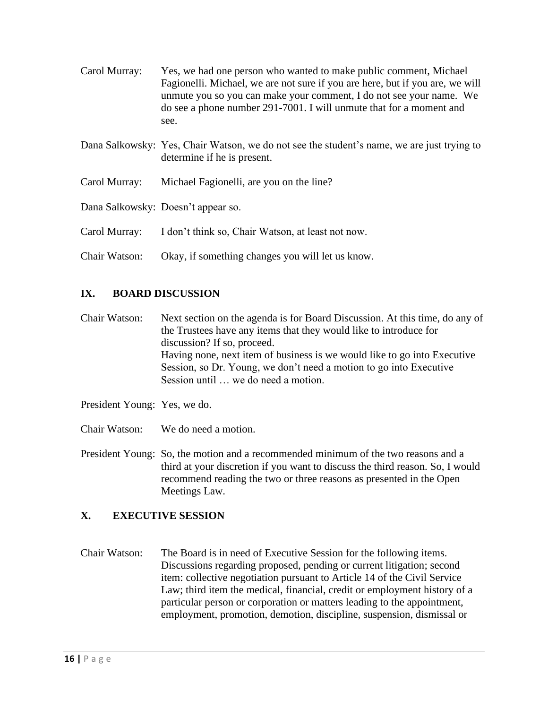| Carol Murray: | Yes, we had one person who wanted to make public comment, Michael<br>Fagionelli. Michael, we are not sure if you are here, but if you are, we will<br>unmute you so you can make your comment, I do not see your name. We<br>do see a phone number 291-7001. I will unmute that for a moment and<br>see. |
|---------------|----------------------------------------------------------------------------------------------------------------------------------------------------------------------------------------------------------------------------------------------------------------------------------------------------------|
|               | Dana Salkowsky: Yes, Chair Watson, we do not see the student's name, we are just trying to<br>determine if he is present.                                                                                                                                                                                |
| Carol Murray: | Michael Fagionelli, are you on the line?                                                                                                                                                                                                                                                                 |
|               | Dana Salkowsky: Doesn't appear so.                                                                                                                                                                                                                                                                       |
| Carol Murray: | I don't think so, Chair Watson, at least not now.                                                                                                                                                                                                                                                        |
| Chair Watson: | Okay, if something changes you will let us know.                                                                                                                                                                                                                                                         |

# **IX. BOARD DISCUSSION**

Chair Watson: Next section on the agenda is for Board Discussion. At this time, do any of the Trustees have any items that they would like to introduce for discussion? If so, proceed. Having none, next item of business is we would like to go into Executive Session, so Dr. Young, we don't need a motion to go into Executive Session until … we do need a motion.

- President Young: Yes, we do.
- Chair Watson: We do need a motion.

President Young: So, the motion and a recommended minimum of the two reasons and a third at your discretion if you want to discuss the third reason. So, I would recommend reading the two or three reasons as presented in the Open Meetings Law.

# **X. EXECUTIVE SESSION**

Chair Watson: The Board is in need of Executive Session for the following items. Discussions regarding proposed, pending or current litigation; second item: collective negotiation pursuant to Article 14 of the Civil Service Law; third item the medical, financial, credit or employment history of a particular person or corporation or matters leading to the appointment, employment, promotion, demotion, discipline, suspension, dismissal or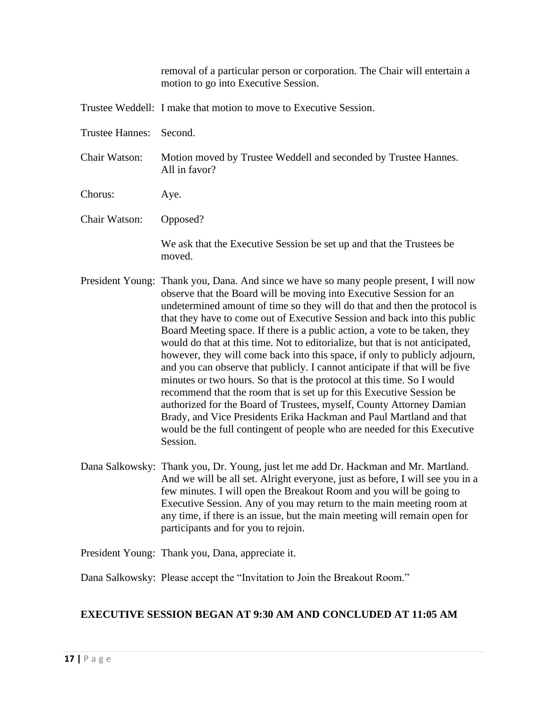removal of a particular person or corporation. The Chair will entertain a motion to go into Executive Session. Trustee Weddell: I make that motion to move to Executive Session. Trustee Hannes: Second. Chair Watson: Motion moved by Trustee Weddell and seconded by Trustee Hannes. All in favor? Chorus: Aye. Chair Watson: Opposed? We ask that the Executive Session be set up and that the Trustees be moved. President Young: Thank you, Dana. And since we have so many people present, I will now observe that the Board will be moving into Executive Session for an undetermined amount of time so they will do that and then the protocol is that they have to come out of Executive Session and back into this public Board Meeting space. If there is a public action, a vote to be taken, they would do that at this time. Not to editorialize, but that is not anticipated, however, they will come back into this space, if only to publicly adjourn, and you can observe that publicly. I cannot anticipate if that will be five minutes or two hours. So that is the protocol at this time. So I would recommend that the room that is set up for this Executive Session be authorized for the Board of Trustees, myself, County Attorney Damian Brady, and Vice Presidents Erika Hackman and Paul Martland and that would be the full contingent of people who are needed for this Executive Session. Dana Salkowsky: Thank you, Dr. Young, just let me add Dr. Hackman and Mr. Martland.

And we will be all set. Alright everyone, just as before, I will see you in a few minutes. I will open the Breakout Room and you will be going to Executive Session. Any of you may return to the main meeting room at any time, if there is an issue, but the main meeting will remain open for participants and for you to rejoin.

President Young: Thank you, Dana, appreciate it.

Dana Salkowsky: Please accept the "Invitation to Join the Breakout Room."

# **EXECUTIVE SESSION BEGAN AT 9:30 AM AND CONCLUDED AT 11:05 AM**